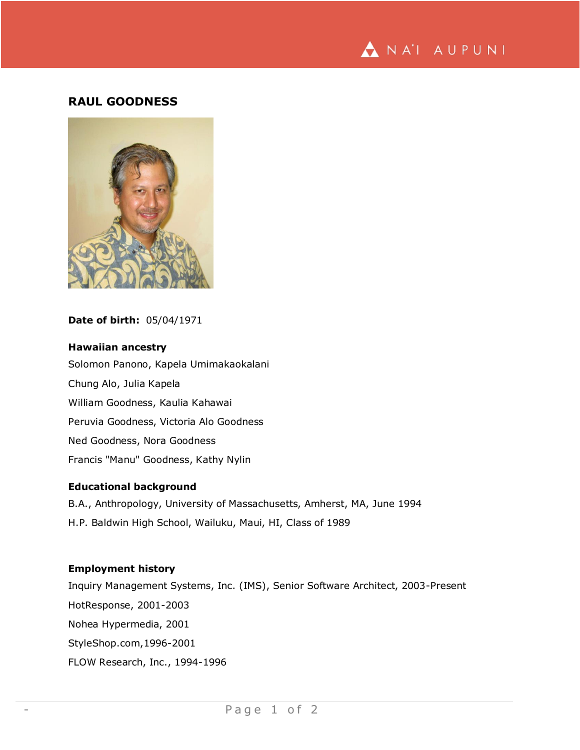

# **RAUL GOODNESS**



## **Date of birth:** 05/04/1971

### **Hawaiian ancestry**

Solomon Panono, Kapela Umimakaokalani Chung Alo, Julia Kapela William Goodness, Kaulia Kahawai Peruvia Goodness, Victoria Alo Goodness Ned Goodness, Nora Goodness Francis "Manu" Goodness, Kathy Nylin

#### **Educational background**

B.A., Anthropology, University of Massachusetts, Amherst, MA, June 1994 H.P. Baldwin High School, Wailuku, Maui, HI, Class of 1989

#### **Employment history**

Inquiry Management Systems, Inc. (IMS), Senior Software Architect, 2003-Present HotResponse, 2001-2003 Nohea Hypermedia, 2001 StyleShop.com,1996-2001 FLOW Research, Inc., 1994-1996